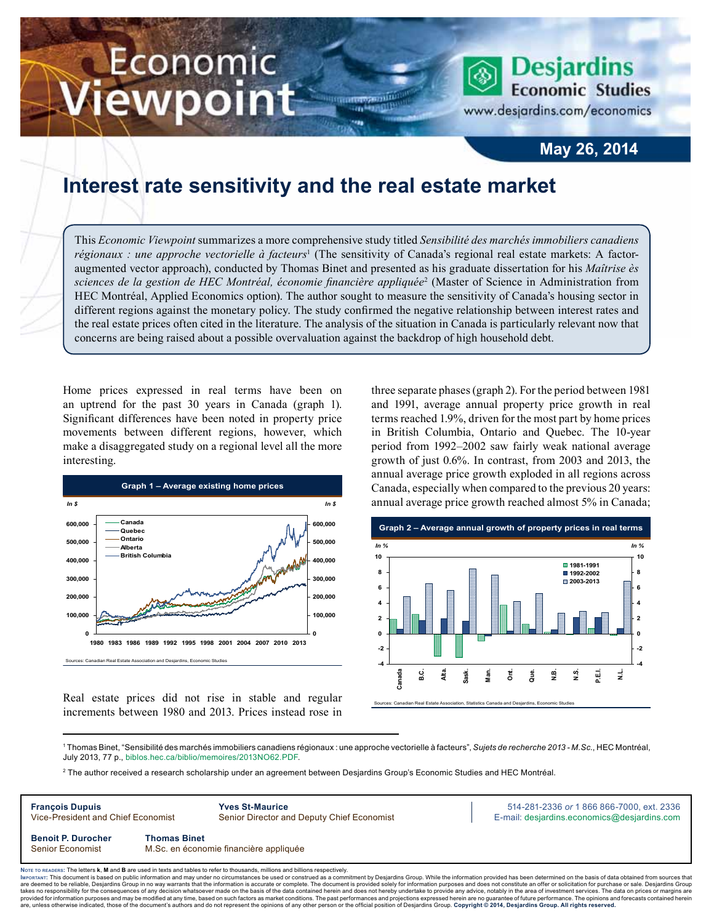# Economic ewpoint

**Desjardins Economic Studies** 

www.desjardins.com/economics

### **May 26, 2014**

## **Interest rate sensitivity and the real estate market**

This *Economic Viewpoint* summarizes a more comprehensive study titled *Sensibilité des marchés immobiliers canadiens*  régionaux : une approche vectorielle à facteurs<sup>1</sup> (The sensitivity of Canada's regional real estate markets: A factoraugmented vector approach), conducted by Thomas Binet and presented as his graduate dissertation for his *Maîtrise ès sciences de la gestion de HEC Montréal, économie financière appliquée*<sup>2</sup> (Master of Science in Administration from HEC Montréal, Applied Economics option). The author sought to measure the sensitivity of Canada's housing sector in different regions against the monetary policy. The study confirmed the negative relationship between interest rates and the real estate prices often cited in the literature. The analysis of the situation in Canada is particularly relevant now that concerns are being raised about a possible overvaluation against the backdrop of high household debt.

m

Home prices expressed in real terms have been on an uptrend for the past 30 years in Canada (graph 1). Significant differences have been noted in property price movements between different regions, however, which make a disaggregated study on a regional level all the more interesting.



Real estate prices did not rise in stable and regular increments between 1980 and 2013. Prices instead rose in three separate phases (graph 2). For the period between 1981 and 1991, average annual property price growth in real terms reached 1.9%, driven for the most part by home prices in British Columbia, Ontario and Quebec. The 10‑year period from 1992–2002 saw fairly weak national average growth of just 0.6%. In contrast, from 2003 and 2013, the annual average price growth exploded in all regions across Canada, especially when compared to the previous 20 years: annual average price growth reached almost 5% in Canada;



Sources: Canadian Real Estate Association, Statistics Canada and Desjardins, Economic Studies

1 Thomas Binet, "Sensibilité des marchés immobiliers canadiens régionaux : une approche vectorielle à facteurs", *Sujets de recherche 2013 - M.Sc.*, HEC Montréal, July 2013, 77 p., [biblos.hec.ca/biblio/memoires/2013NO62.PDF.](http://biblos.hec.ca/biblio/memoires/2013NO62.PDF)

2 The author received a research scholarship under an agreement between Desjardins Group's Economic Studies and HEC Montréal.



Noте то келоекs: The letters **k, M** and **B** are used in texts and tables to refer to thousands, millions and billions respectively.<br>Імроктлит: This document is based on public information and may under no circumstances be are deemed to be reliable. Desiardins Group in no way warrants that the information is accurate or complete. The document is provided solely for information purposes and does not constitute an offer or solicitation for pur takes no responsibility for the consequences of any decision whatsoever made on the basis of the data contained herein and does not hereby undertake to provide any advice, notably in the area of investment services. The da .<br>are, unless otherwise indicated, those of the document's authors and do not represent the opinions of any other person or the official position of Desjardins Group. Copyright © 2014, Desjardins Group. All rights reserve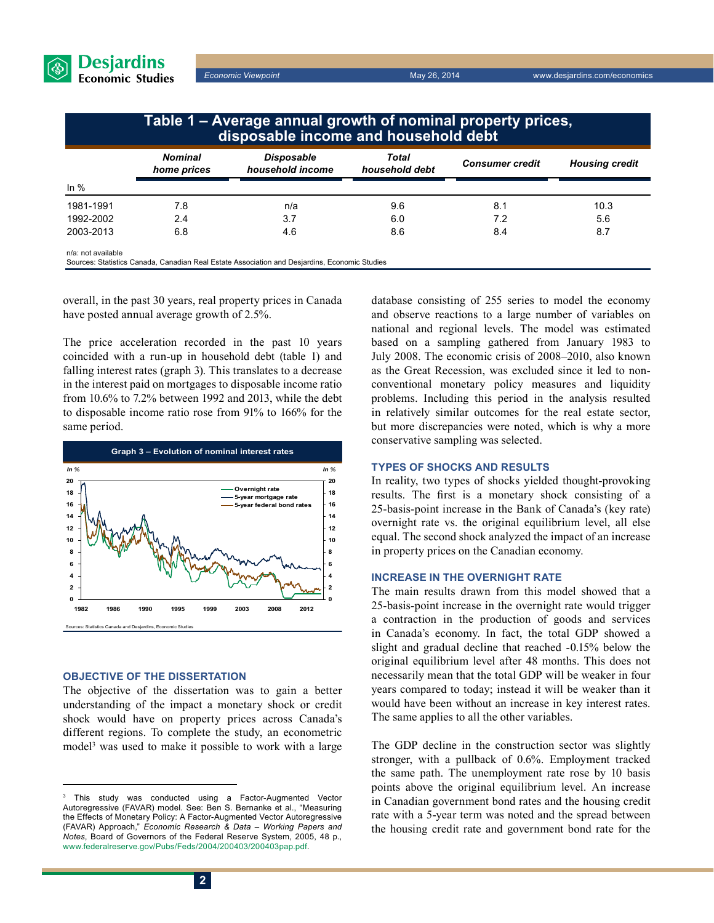

*Economic Viewpoint* May 26, 2014 www.desjardins.com/economics

|                    | Table 1 – Average annual growth of nominal property prices,<br>disposable income and household debt |                                                                                               |                         |                        |                       |
|--------------------|-----------------------------------------------------------------------------------------------------|-----------------------------------------------------------------------------------------------|-------------------------|------------------------|-----------------------|
|                    | <b>Nominal</b><br>home prices                                                                       | <b>Disposable</b><br>household income                                                         | Total<br>household debt | <b>Consumer</b> credit | <b>Housing credit</b> |
| In $%$             |                                                                                                     |                                                                                               |                         |                        |                       |
| 1981-1991          | 7.8                                                                                                 | n/a                                                                                           | 9.6                     | 8.1                    | 10.3                  |
| 1992-2002          | 2.4                                                                                                 | 3.7                                                                                           | 6.0                     | 7.2                    | 5.6                   |
| 2003-2013          | 6.8                                                                                                 | 4.6                                                                                           | 8.6                     | 8.4                    | 8.7                   |
| n/a: not available |                                                                                                     | Sources: Statistics Canada, Canadian Real Estate Association and Desjardins, Economic Studies |                         |                        |                       |

overall, in the past 30 years, real property prices in Canada have posted annual average growth of 2.5%.

The price acceleration recorded in the past 10 years coincided with a run-up in household debt (table 1) and falling interest rates (graph 3). This translates to a decrease in the interest paid on mortgages to disposable income ratio from 10.6% to 7.2% between 1992 and 2013, while the debt to disposable income ratio rose from 91% to 166% for the same period.



#### **Objective of the dissertation**

The objective of the dissertation was to gain a better understanding of the impact a monetary shock or credit shock would have on property prices across Canada's different regions. To complete the study, an econometric model<sup>3</sup> was used to make it possible to work with a large database consisting of 255 series to model the economy and observe reactions to a large number of variables on national and regional levels. The model was estimated based on a sampling gathered from January 1983 to July 2008. The economic crisis of 2008–2010, also known as the Great Recession, was excluded since it led to nonconventional monetary policy measures and liquidity problems. Including this period in the analysis resulted in relatively similar outcomes for the real estate sector, but more discrepancies were noted, which is why a more conservative sampling was selected.

#### **Types of shocks and results**

In reality, two types of shocks yielded thought-provoking results. The first is a monetary shock consisting of a 25‑basis-point increase in the Bank of Canada's (key rate) overnight rate vs. the original equilibrium level, all else equal. The second shock analyzed the impact of an increase in property prices on the Canadian economy.

#### **Increase in the overnight rate**

The main results drawn from this model showed that a 25‑basis-point increase in the overnight rate would trigger a contraction in the production of goods and services in Canada's economy. In fact, the total GDP showed a slight and gradual decline that reached -0.15% below the original equilibrium level after 48 months. This does not necessarily mean that the total GDP will be weaker in four years compared to today; instead it will be weaker than it would have been without an increase in key interest rates. The same applies to all the other variables.

The GDP decline in the construction sector was slightly stronger, with a pullback of 0.6%. Employment tracked the same path. The unemployment rate rose by 10 basis points above the original equilibrium level. An increase in Canadian government bond rates and the housing credit rate with a 5‑year term was noted and the spread between the housing credit rate and government bond rate for the

<sup>3</sup> This study was conducted using a Factor-Augmented Vector Autoregressive (FAVAR) model. See: Ben S. Bernanke et al., "Measuring the Effects of Monetary Policy: A Factor-Augmented Vector Autoregressive (FAVAR) Approach," *Economic Research & Data – Working Papers and Notes*, Board of Governors of the Federal Reserve System, 2005, 48 p., [www.federalreserve.gov/Pubs/Feds/2004/200403/200403pap.pdf](http://www.federalreserve.gov/Pubs/Feds/2004/200403/200403pap.pdf).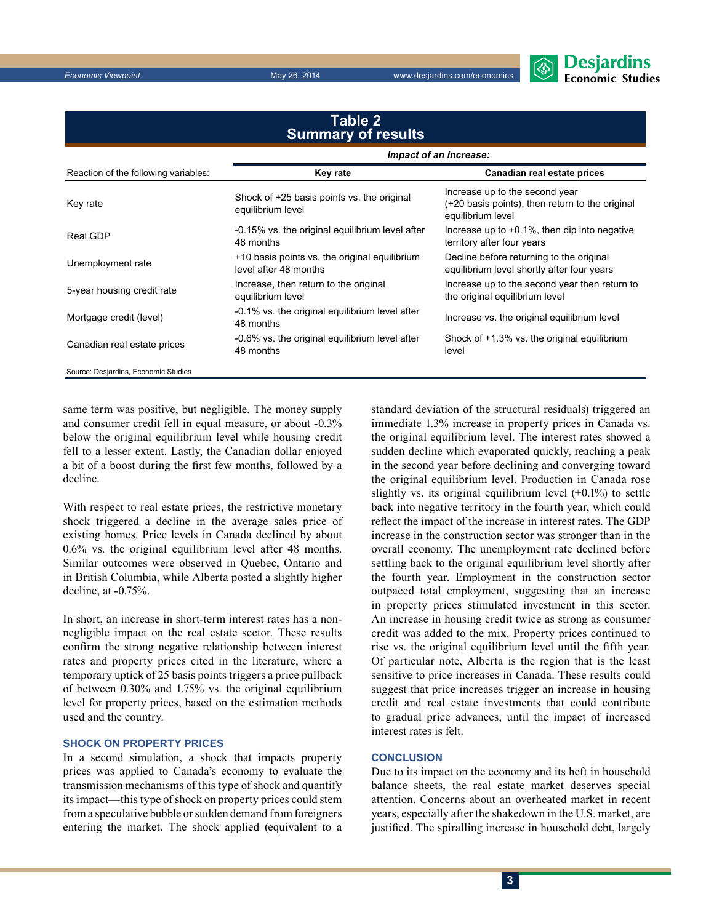*Economic Viewpoint* May 26, 2014 www.desjardins.com/economics

level



#### Reaction of the following variables: **Key rate Canadian real estate prices** Key rate Shock of +25 basis points vs. the original<br>equilibrium local equilibrium level Increase up to the second year (+20 basis points), then return to the original equilibrium level Real GDP  $-0.15\%$  vs. the original equilibrium level after 48 months Increase up to +0.1%, then dip into negative territory after four years Unemployment rate  $\frac{+10 \text{ basis points vs. the original equilibrium}}{1 \text{ mod of } 50 \text{ m} \cdot 40 \text{ months}}$ level after 48 months Decline before returning to the original equilibrium level shortly after four years 5-year housing credit rate Increase, then return to the original equilibrium level Increase up to the second year then return to the original equilibrium level Mortgage credit (level) -0.1% vs. the original equilibrium level after<br>48 months Increase vs. the original equilibrium level **Table 2 Summary of results** *Impact of an increase:*

Source: Desjardins, Economic Studies

same term was positive, but negligible. The money supply and consumer credit fell in equal measure, or about -0.3% below the original equilibrium level while housing credit fell to a lesser extent. Lastly, the Canadian dollar enjoyed a bit of a boost during the first few months, followed by a decline.

Canadian real estate prices -0.6% vs. the original equilibrium level after 48 months

With respect to real estate prices, the restrictive monetary shock triggered a decline in the average sales price of existing homes. Price levels in Canada declined by about 0.6% vs. the original equilibrium level after 48 months. Similar outcomes were observed in Quebec, Ontario and in British Columbia, while Alberta posted a slightly higher decline, at -0.75%.

In short, an increase in short-term interest rates has a nonnegligible impact on the real estate sector. These results confirm the strong negative relationship between interest rates and property prices cited in the literature, where a temporary uptick of 25 basis points triggers a price pullback of between 0.30% and 1.75% vs. the original equilibrium level for property prices, based on the estimation methods used and the country.

#### **Shock on property prices**

In a second simulation, a shock that impacts property prices was applied to Canada's economy to evaluate the transmission mechanisms of this type of shock and quantify its impact—this type of shock on property prices could stem from a speculative bubble or sudden demand from foreigners entering the market. The shock applied (equivalent to a standard deviation of the structural residuals) triggered an immediate 1.3% increase in property prices in Canada vs. the original equilibrium level. The interest rates showed a sudden decline which evaporated quickly, reaching a peak in the second year before declining and converging toward the original equilibrium level. Production in Canada rose slightly vs. its original equilibrium level  $(+0.1%)$  to settle back into negative territory in the fourth year, which could reflect the impact of the increase in interest rates. The GDP increase in the construction sector was stronger than in the overall economy. The unemployment rate declined before settling back to the original equilibrium level shortly after the fourth year. Employment in the construction sector outpaced total employment, suggesting that an increase in property prices stimulated investment in this sector. An increase in housing credit twice as strong as consumer credit was added to the mix. Property prices continued to rise vs. the original equilibrium level until the fifth year. Of particular note, Alberta is the region that is the least sensitive to price increases in Canada. These results could suggest that price increases trigger an increase in housing credit and real estate investments that could contribute to gradual price advances, until the impact of increased interest rates is felt.

Shock of +1.3% vs. the original equilibrium

#### **Conclusion**

Due to its impact on the economy and its heft in household balance sheets, the real estate market deserves special attention. Concerns about an overheated market in recent years, especially after the shakedown in the U.S. market, are justified. The spiralling increase in household debt, largely